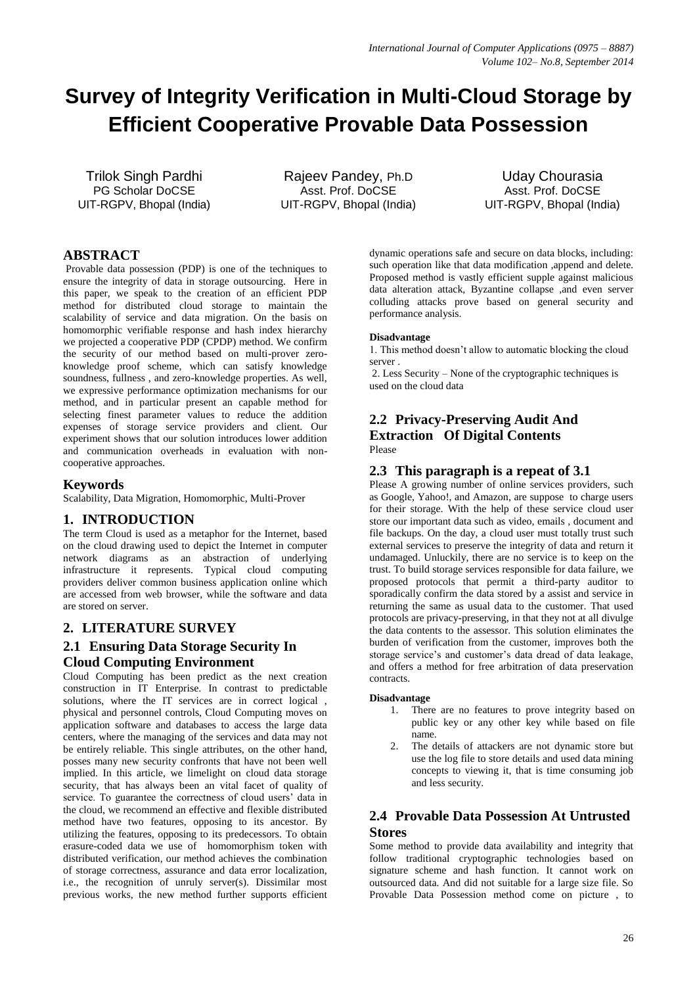# **Survey of Integrity Verification in Multi-Cloud Storage by Efficient Cooperative Provable Data Possession**

Trilok Singh Pardhi PG Scholar DoCSE UIT-RGPV, Bhopal (India)

Rajeev Pandey, Ph.D Asst. Prof. DoCSE UIT-RGPV, Bhopal (India)

Uday Chourasia Asst. Prof. DoCSE UIT-RGPV, Bhopal (India)

# **ABSTRACT**

Provable data possession (PDP) is one of the techniques to ensure the integrity of data in storage outsourcing. Here in this paper, we speak to the creation of an efficient PDP method for distributed cloud storage to maintain the scalability of service and data migration. On the basis on homomorphic verifiable response and hash index hierarchy we projected a cooperative PDP (CPDP) method. We confirm the security of our method based on multi-prover zeroknowledge proof scheme, which can satisfy knowledge soundness, fullness , and zero-knowledge properties. As well, we expressive performance optimization mechanisms for our method, and in particular present an capable method for selecting finest parameter values to reduce the addition expenses of storage service providers and client. Our experiment shows that our solution introduces lower addition and communication overheads in evaluation with noncooperative approaches.

# **Keywords**

Scalability, Data Migration, Homomorphic, Multi-Prover

### **1. INTRODUCTION**

The term Cloud is used as a metaphor for the Internet, based on the cloud drawing used to depict the Internet in computer network diagrams as an abstraction of underlying infrastructure it represents. Typical cloud computing providers deliver common business application online which are accessed from web browser, while the software and data are stored on server.

# **2. LITERATURE SURVEY**

# **2.1 Ensuring Data Storage Security In Cloud Computing Environment**

Cloud Computing has been predict as the next creation construction in IT Enterprise. In contrast to predictable solutions, where the IT services are in correct logical. physical and personnel controls, Cloud Computing moves on application software and databases to access the large data centers, where the managing of the services and data may not be entirely reliable. This single attributes, on the other hand, posses many new security confronts that have not been well implied. In this article, we limelight on cloud data storage security, that has always been an vital facet of quality of service. To guarantee the correctness of cloud users' data in the cloud, we recommend an effective and flexible distributed method have two features, opposing to its ancestor. By utilizing the features, opposing to its predecessors. To obtain erasure-coded data we use of homomorphism token with distributed verification, our method achieves the combination of storage correctness, assurance and data error localization, i.e., the recognition of unruly server(s). Dissimilar most previous works, the new method further supports efficient

dynamic operations safe and secure on data blocks, including: such operation like that data modification ,append and delete. Proposed method is vastly efficient supple against malicious data alteration attack, Byzantine collapse ,and even server colluding attacks prove based on general security and performance analysis.

### **Disadvantage**

1. This method doesn't allow to automatic blocking the cloud server .

2. Less Security – None of the cryptographic techniques is used on the cloud data

# **2.2 Privacy-Preserving Audit And Extraction Of Digital Contents** Please

### **2.3 This paragraph is a repeat of 3.1**

Please A growing number of online services providers, such as Google, Yahoo!, and Amazon, are suppose to charge users for their storage. With the help of these service cloud user store our important data such as video, emails , document and file backups. On the day, a cloud user must totally trust such external services to preserve the integrity of data and return it undamaged. Unluckily, there are no service is to keep on the trust. To build storage services responsible for data failure, we proposed protocols that permit a third-party auditor to sporadically confirm the data stored by a assist and service in returning the same as usual data to the customer. That used protocols are privacy-preserving, in that they not at all divulge the data contents to the assessor. This solution eliminates the burden of verification from the customer, improves both the storage service's and customer's data dread of data leakage, and offers a method for free arbitration of data preservation contracts.

### **Disadvantage**

- 1. There are no features to prove integrity based on public key or any other key while based on file name.
- 2. The details of attackers are not dynamic store but use the log file to store details and used data mining concepts to viewing it, that is time consuming job and less security.

# **2.4 Provable Data Possession At Untrusted Stores**

Some method to provide data availability and integrity that follow traditional cryptographic technologies based on signature scheme and hash function. It cannot work on outsourced data. And did not suitable for a large size file. So Provable Data Possession method come on picture , to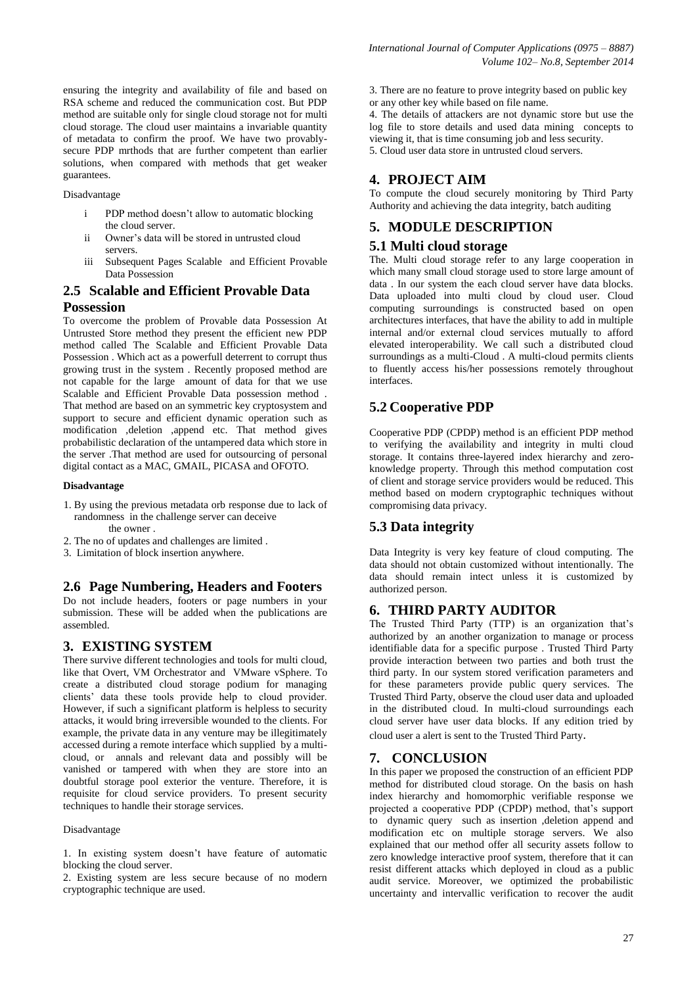ensuring the integrity and availability of file and based on RSA scheme and reduced the communication cost. But PDP method are suitable only for single cloud storage not for multi cloud storage. The cloud user maintains a invariable quantity of metadata to confirm the proof. We have two provablysecure PDP mrthods that are further competent than earlier solutions, when compared with methods that get weaker guarantees.

#### Disadvantage

- i PDP method doesn't allow to automatic blocking the cloud server.
- ii Owner's data will be stored in untrusted cloud servers.
- iii Subsequent Pages Scalable and Efficient Provable Data Possession

# **2.5 Scalable and Efficient Provable Data Possession**

To overcome the problem of Provable data Possession At Untrusted Store method they present the efficient new PDP method called The Scalable and Efficient Provable Data Possession . Which act as a powerfull deterrent to corrupt thus growing trust in the system . Recently proposed method are not capable for the large amount of data for that we use Scalable and Efficient Provable Data possession method . That method are based on an symmetric key cryptosystem and support to secure and efficient dynamic operation such as modification ,deletion ,append etc. That method gives probabilistic declaration of the untampered data which store in the server .That method are used for outsourcing of personal digital contact as a MAC, GMAIL, PICASA and OFOTO.

#### **Disadvantage**

- 1. By using the previous metadata orb response due to lack of randomness in the challenge server can deceive the owner .
- 2. The no of updates and challenges are limited .
- 3. Limitation of block insertion anywhere.

### **2.6 Page Numbering, Headers and Footers**

Do not include headers, footers or page numbers in your submission. These will be added when the publications are assembled.

# **3. EXISTING SYSTEM**

There survive different technologies and tools for multi cloud, like that Overt, VM Orchestrator and VMware vSphere. To create a distributed cloud storage podium for managing clients' data these tools provide help to cloud provider. However, if such a significant platform is helpless to security attacks, it would bring irreversible wounded to the clients. For example, the private data in any venture may be illegitimately accessed during a remote interface which supplied by a multicloud, or annals and relevant data and possibly will be vanished or tampered with when they are store into an doubtful storage pool exterior the venture. Therefore, it is requisite for cloud service providers. To present security techniques to handle their storage services.

#### Disadvantage

2. Existing system are less secure because of no modern cryptographic technique are used.

3. There are no feature to prove integrity based on public key or any other key while based on file name.

4. The details of attackers are not dynamic store but use the log file to store details and used data mining concepts to viewing it, that is time consuming job and less security. 5. Cloud user data store in untrusted cloud servers.

### **4. PROJECT AIM**

To compute the cloud securely monitoring by Third Party Authority and achieving the data integrity, batch auditing

### **5. MODULE DESCRIPTION**

### **5.1 Multi cloud storage**

The. Multi cloud storage refer to any large cooperation in which many small cloud storage used to store large amount of data . In our system the each cloud server have data blocks. Data uploaded into multi cloud by cloud user. Cloud computing surroundings is constructed based on open architectures interfaces, that have the ability to add in multiple internal and/or external cloud services mutually to afford elevated interoperability. We call such a distributed cloud surroundings as a multi-Cloud . A multi-cloud permits clients to fluently access his/her possessions remotely throughout interfaces.

# **5.2 Cooperative PDP**

Cooperative PDP (CPDP) method is an efficient PDP method to verifying the availability and integrity in multi cloud storage. It contains three-layered index hierarchy and zeroknowledge property. Through this method computation cost of client and storage service providers would be reduced. This method based on modern cryptographic techniques without compromising data privacy.

# **5.3 Data integrity**

Data Integrity is very key feature of cloud computing. The data should not obtain customized without intentionally. The data should remain intect unless it is customized by authorized person.

# **6. THIRD PARTY AUDITOR**

The Trusted Third Party (TTP) is an organization that's authorized by an another organization to manage or process identifiable data for a specific purpose . Trusted Third Party provide interaction between two parties and both trust the third party. In our system stored verification parameters and for these parameters provide public query services. The Trusted Third Party, observe the cloud user data and uploaded in the distributed cloud. In multi-cloud surroundings each cloud server have user data blocks. If any edition tried by cloud user a alert is sent to the Trusted Third Party.

### **7. CONCLUSION**

In this paper we proposed the construction of an efficient PDP method for distributed cloud storage. On the basis on hash index hierarchy and homomorphic verifiable response we projected a cooperative PDP (CPDP) method, that's support to dynamic query such as insertion ,deletion append and modification etc on multiple storage servers. We also explained that our method offer all security assets follow to zero knowledge interactive proof system, therefore that it can resist different attacks which deployed in cloud as a public audit service. Moreover, we optimized the probabilistic uncertainty and intervallic verification to recover the audit

<sup>1.</sup> In existing system doesn't have feature of automatic blocking the cloud server.